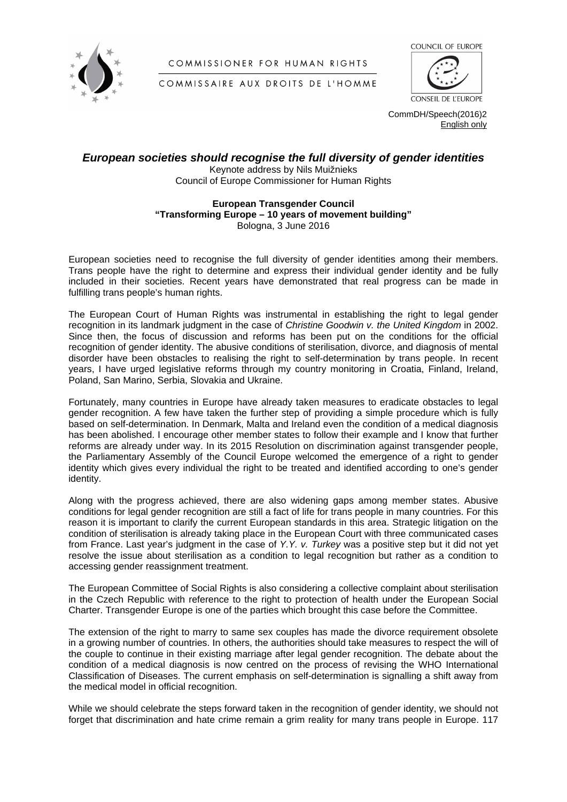

COMMISSIONER FOR HUMAN RIGHTS



COMMISSAIRE AUX DROITS DE L'HOMME



CommDH/Speech(2016)2 English only

## *European societies should recognise the full diversity of gender identities*

Keynote address by Nils Muižnieks Council of Europe Commissioner for Human Rights

## **European Transgender Council "Transforming Europe – 10 years of movement building"**  Bologna, 3 June 2016

European societies need to recognise the full diversity of gender identities among their members. Trans people have the right to determine and express their individual gender identity and be fully included in their societies. Recent years have demonstrated that real progress can be made in fulfilling trans people's human rights.

The European Court of Human Rights was instrumental in establishing the right to legal gender recognition in its landmark judgment in the case of *Christine Goodwin v. the United Kingdom* in 2002. Since then, the focus of discussion and reforms has been put on the conditions for the official recognition of gender identity. The abusive conditions of sterilisation, divorce, and diagnosis of mental disorder have been obstacles to realising the right to self-determination by trans people. In recent years, I have urged legislative reforms through my country monitoring in Croatia, Finland, Ireland, Poland, San Marino, Serbia, Slovakia and Ukraine.

Fortunately, many countries in Europe have already taken measures to eradicate obstacles to legal gender recognition. A few have taken the further step of providing a simple procedure which is fully based on self-determination. In Denmark, Malta and Ireland even the condition of a medical diagnosis has been abolished. I encourage other member states to follow their example and I know that further reforms are already under way. In its 2015 Resolution on discrimination against transgender people, the Parliamentary Assembly of the Council Europe welcomed the emergence of a right to gender identity which gives every individual the right to be treated and identified according to one's gender identity.

Along with the progress achieved, there are also widening gaps among member states. Abusive conditions for legal gender recognition are still a fact of life for trans people in many countries. For this reason it is important to clarify the current European standards in this area. Strategic litigation on the condition of sterilisation is already taking place in the European Court with three communicated cases from France. Last year's judgment in the case of *Y.Y. v. Turkey* was a positive step but it did not yet resolve the issue about sterilisation as a condition to legal recognition but rather as a condition to accessing gender reassignment treatment.

The European Committee of Social Rights is also considering a collective complaint about sterilisation in the Czech Republic with reference to the right to protection of health under the European Social Charter. Transgender Europe is one of the parties which brought this case before the Committee.

The extension of the right to marry to same sex couples has made the divorce requirement obsolete in a growing number of countries. In others, the authorities should take measures to respect the will of the couple to continue in their existing marriage after legal gender recognition. The debate about the condition of a medical diagnosis is now centred on the process of revising the WHO International Classification of Diseases. The current emphasis on self-determination is signalling a shift away from the medical model in official recognition.

While we should celebrate the steps forward taken in the recognition of gender identity, we should not forget that discrimination and hate crime remain a grim reality for many trans people in Europe. 117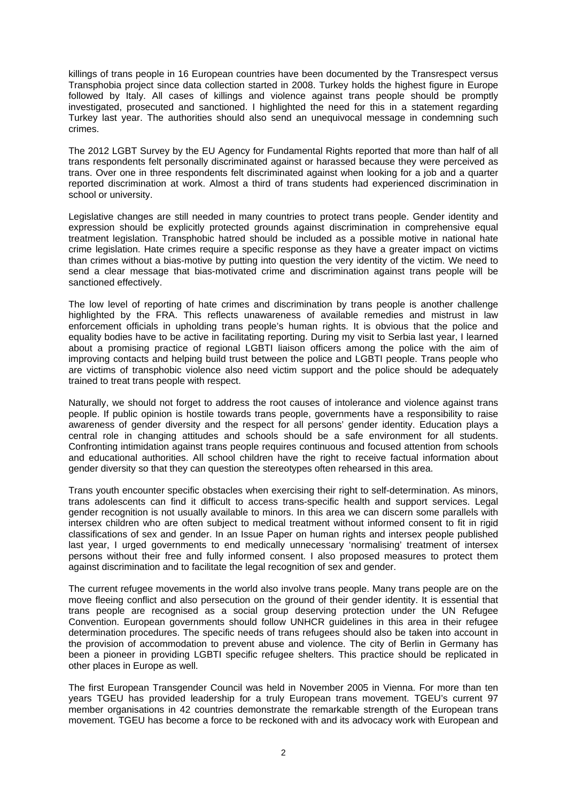killings of trans people in 16 European countries have been documented by the Transrespect versus Transphobia project since data collection started in 2008. Turkey holds the highest figure in Europe followed by Italy. All cases of killings and violence against trans people should be promptly investigated, prosecuted and sanctioned. I highlighted the need for this in a statement regarding Turkey last year. The authorities should also send an unequivocal message in condemning such crimes.

The 2012 LGBT Survey by the EU Agency for Fundamental Rights reported that more than half of all trans respondents felt personally discriminated against or harassed because they were perceived as trans. Over one in three respondents felt discriminated against when looking for a job and a quarter reported discrimination at work. Almost a third of trans students had experienced discrimination in school or university.

Legislative changes are still needed in many countries to protect trans people. Gender identity and expression should be explicitly protected grounds against discrimination in comprehensive equal treatment legislation. Transphobic hatred should be included as a possible motive in national hate crime legislation. Hate crimes require a specific response as they have a greater impact on victims than crimes without a bias-motive by putting into question the very identity of the victim. We need to send a clear message that bias-motivated crime and discrimination against trans people will be sanctioned effectively.

The low level of reporting of hate crimes and discrimination by trans people is another challenge highlighted by the FRA. This reflects unawareness of available remedies and mistrust in law enforcement officials in upholding trans people's human rights. It is obvious that the police and equality bodies have to be active in facilitating reporting. During my visit to Serbia last year, I learned about a promising practice of regional LGBTI liaison officers among the police with the aim of improving contacts and helping build trust between the police and LGBTI people. Trans people who are victims of transphobic violence also need victim support and the police should be adequately trained to treat trans people with respect.

Naturally, we should not forget to address the root causes of intolerance and violence against trans people. If public opinion is hostile towards trans people, governments have a responsibility to raise awareness of gender diversity and the respect for all persons' gender identity. Education plays a central role in changing attitudes and schools should be a safe environment for all students. Confronting intimidation against trans people requires continuous and focused attention from schools and educational authorities. All school children have the right to receive factual information about gender diversity so that they can question the stereotypes often rehearsed in this area.

Trans youth encounter specific obstacles when exercising their right to self-determination. As minors, trans adolescents can find it difficult to access trans-specific health and support services. Legal gender recognition is not usually available to minors. In this area we can discern some parallels with intersex children who are often subject to medical treatment without informed consent to fit in rigid classifications of sex and gender. In an Issue Paper on human rights and intersex people published last year, I urged governments to end medically unnecessary 'normalising' treatment of intersex persons without their free and fully informed consent. I also proposed measures to protect them against discrimination and to facilitate the legal recognition of sex and gender.

The current refugee movements in the world also involve trans people. Many trans people are on the move fleeing conflict and also persecution on the ground of their gender identity. It is essential that trans people are recognised as a social group deserving protection under the UN Refugee Convention. European governments should follow UNHCR guidelines in this area in their refugee determination procedures. The specific needs of trans refugees should also be taken into account in the provision of accommodation to prevent abuse and violence. The city of Berlin in Germany has been a pioneer in providing LGBTI specific refugee shelters. This practice should be replicated in other places in Europe as well.

The first European Transgender Council was held in November 2005 in Vienna. For more than ten years TGEU has provided leadership for a truly European trans movement. TGEU's current 97 member organisations in 42 countries demonstrate the remarkable strength of the European trans movement. TGEU has become a force to be reckoned with and its advocacy work with European and